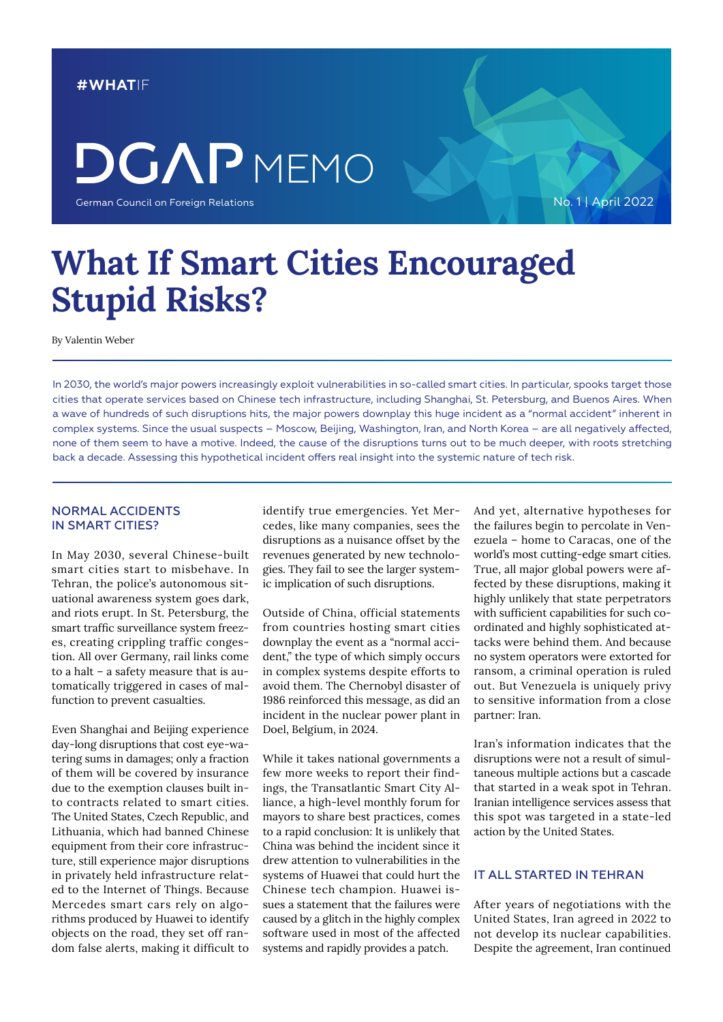#### **#WHAT**IF

## **DGAP** MEMO

German Council on Foreign Relations

No. 1 | April 2022

### **What If Smart Cities Encouraged Stupid Risks?**

By Valentin Weber

In 2030, the world's major powers increasingly exploit vulnerabilities in so-called smart cities. In particular, spooks target those cities that operate services based on Chinese tech infrastructure, including Shanghai, St. Petersburg, and Buenos Aires. When a wave of hundreds of such disruptions hits, the major powers downplay this huge incident as a "normal accident" inherent in complex systems. Since the usual suspects – Moscow, Beijing, Washington, Iran, and North Korea – are all negatively affected, none of them seem to have a motive. Indeed, the cause of the disruptions turns out to be much deeper, with roots stretching back a decade. Assessing this hypothetical incident offers real insight into the systemic nature of tech risk.

#### NORMAL ACCIDENTS IN SMART CITIES?

In May 2030, several Chinese-built smart cities start to misbehave. In Tehran, the police's autonomous situational awareness system goes dark, and riots erupt. In St. Petersburg, the smart traffic surveillance system freezes, creating crippling traffic congestion. All over Germany, rail links come to a halt – a safety measure that is automatically triggered in cases of malfunction to prevent casualties.

Even Shanghai and Beijing experience day-long disruptions that cost eye-watering sums in damages; only a fraction of them will be covered by insurance due to the exemption clauses built into contracts related to smart cities. The United States, Czech Republic, and Lithuania, which had banned Chinese equipment from their core infrastructure, still experience major disruptions in privately held infrastructure related to the Internet of Things. Because Mercedes smart cars rely on algorithms produced by Huawei to identify objects on the road, they set off random false alerts, making it difficult to identify true emergencies. Yet Mercedes, like many companies, sees the disruptions as a nuisance offset by the revenues generated by new technologies. They fail to see the larger systemic implication of such disruptions.

Outside of China, official statements from countries hosting smart cities downplay the event as a "normal accident," the type of which simply occurs in complex systems despite efforts to avoid them. The Chernobyl disaster of 1986 reinforced this message, as did an incident in the nuclear power plant in Doel, Belgium, in 2024.

While it takes national governments a few more weeks to report their findings, the Transatlantic Smart City Alliance, a high-level monthly forum for mayors to share best practices, comes to a rapid conclusion: It is unlikely that China was behind the incident since it drew attention to vulnerabilities in the systems of Huawei that could hurt the Chinese tech champion. Huawei issues a statement that the failures were caused by a glitch in the highly complex software used in most of the affected systems and rapidly provides a patch.

And yet, alternative hypotheses for the failures begin to percolate in Venezuela – home to Caracas, one of the world's most cutting-edge smart cities. True, all major global powers were affected by these disruptions, making it highly unlikely that state perpetrators with sufficient capabilities for such coordinated and highly sophisticated attacks were behind them. And because no system operators were extorted for ransom, a criminal operation is ruled out. But Venezuela is uniquely privy to sensitive information from a close partner: Iran.

Iran's information indicates that the disruptions were not a result of simultaneous multiple actions but a cascade that started in a weak spot in Tehran. Iranian intelligence services assess that this spot was targeted in a state-led action by the United States.

#### IT ALL STARTED IN TEHRAN

After years of negotiations with the United States, Iran agreed in 2022 to not develop its nuclear capabilities. Despite the agreement, Iran continued